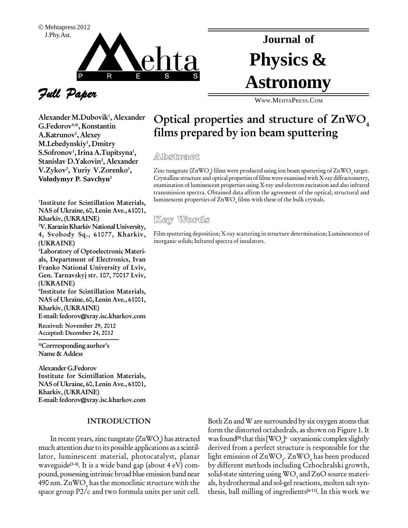



# Physics & **Astronomy**

WWW.M[EHTA](http://WWW.MEHTAPRESS.COM)PRESS.COM

**Alexander M.Dubovik 1 , Alexander G.Fedorov 4,\*, Konstantin**  $\mathbf{A}.\mathbf{K}$ atrunov<sup>1</sup>, Alexey **M.Lebedynskiy 1 , Dmitry S.Sofronov 1 ,Irina A.Tupitsyna 1 , Stanislav D.Yakovin 2 , Alexander V.Zykov 2 , Yuriy V.Zorenko 3 , Volodymyr P. Savchyn 3**

**<sup>1</sup>Institute for Scintillation Materials, NAS of Ukraine, 60, Lenin Ave., 61001, Kharkiv, (UKRAINE) <sup>2</sup>V.KarazinKharkivNationalUniversity, 4, Svobody Sq., 61077, Kharkiv, (UKRAINE) <sup>3</sup>Laboratory of Optoelectronic Materi als, Department of Electronics, Ivan** Franko National University of Lviv, **Gen. Tarnavskyj str. 107, 70017 Lviv, (UKRAINE) <sup>4</sup>Institute for Scintillation Materials, NAS of Ukraine, 60, Lenin Ave., 61001, Kharkiv, (UKRAINE) E-mail: [fedorov@xray.isc.kharkov.com](mailto:fedorov@xray.isc.kharkov.com)**

**Received: November 29, 2012 Accepted: December 24, 2012**

**\*Corrresponding aurhorís Name & Addess**

**Alexander G.Fedorov Institute for Scintillation Materials, NAS of Ukraine, 60, Lenin Ave., 61001, Kharkiv, (UKRAINE) E-mail: fedorov@xray.isc.kharkov.com**

# **INTRODUCTION**

In recent years, zinc tungstate  $(ZnWO)$  has attracted much attention due to its possible applications as a scintil lator, luminescent material, photocatalyst, planar waveguide **[1-4]**. It is a wide band gap (about 4 eV) com pound, possessing intrinsic broad blue emission bandnear 490 nm.  $\text{ZnWO}_4$  has the monoclinic structure with the als, hydrothermal and sol-gel reactions, molten salt synspace group P2/c and two formula units per unit cell.

# **Optical properties and structure of ZnWO<sup>4</sup> films prepared by ion beam sputtering**

Crystalline structure and optical properties of films were examined with X-ray diffractometry, examination of luminescent properties using X-ray and electron excitation and also infrared transmission spectra. Obtained data affirm the agreement of the optical, structural and luminescent properties of  $\text{ZnWO}_{4}$  films with these of the bulk crystals. Zinc tungstate  $(ZnWO)$  films were produced using ion beam sputtering of  $ZnWO$ , target. Words

Film sputtering deposition; X-ray scattering in structure determination; Luminescence of inorganic solids; Infrared spectra of insulators.

> Both Zn and W are surrounded by six oxygen atoms that form the distorted octahedrals, as shown on Figure 1. It form the distorted octahedrals, as shown on Figure 1. It<br>was found<sup>[5]</sup> that this [WO<sub>6</sub>]<sup>6</sup> oxyanionic complex slightly derived from a perfect structure is responsible for the light emission of  $\mathrm{ZnWO}_4.$   $\mathrm{ZnWO}_4$  has been produced by different methods including Czhochralski growth, solid-state sintering using WO<sub>3</sub> and ZnO source materithesis, ball milling of ingredients<sup>[6-11]</sup>. In this work we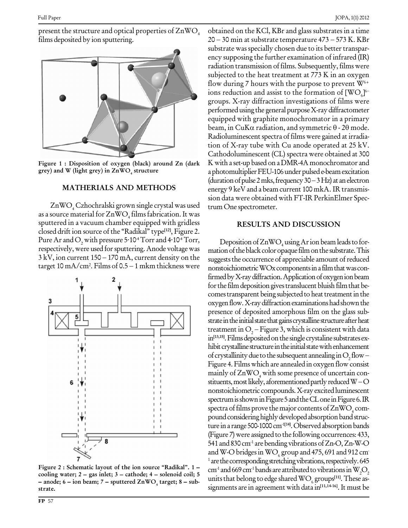present the structure and optical properties of  $\text{ZnWO}_4$  films deposited by ion sputtering.



**Figure 1 : Disposition of oxygen (black) around Zn (dark grey) and W (light grey) in ZnWO<sup>4</sup> structure**

# **MATHERIALS AND METHODS**

ZnWO<sub>4</sub> Czhochralski grown single crystal was used as a source material for  $\text{ZnWO}_4$  films fabrication. It was sputtered in a vacuum chamber equipped with gridless closed drift ion source of the "Radikal" type<sup>[12]</sup>, Figure 2. Pure Ar and O<sub>2</sub> with pressure 5:10<sup>4</sup> Torr and 4:10<sup>4</sup> Torr,<br>respectively, were used for sputtering. Anode voltage was matic<br>3 kV, ion current 150 – 170 mA, current density on the sugge respectively, were used for sputtering. Anode voltage was matic<br>3 kV, ion current 150 – 170 mA, current density on the sugge<br>target 10 mA/cm<sup>2</sup>. Films of 0.5 – 1 mkm thickness were nonst target 10 mA/cm<sup>2</sup>. Films of 0.5 – 1 mkm thickness were



**c i c i c i c i c i cooling water**; **2** – gas inlet; **3** – cathode; **4** – solenoid coil; **5 a i c i c i c i c i c i c i c i c i c i c i c i c c i c i c c i c c i c c i c c i c c i c c i c c i c c i c c**

obtained on the KCl, KBr and glass substrates in a time  $20 - 30$  min at substrate temperature  $473 - 573$  K. KBr substrate was specially chosen due to its better transparency supposing the further examination of infrared (IR) radiation transmission of films. Subsequently, films were subjected to the heat treatment at 773 K in an oxygen flow during 7 hours with the purpose to prevent  $W^{6+}$ ions reduction and assist to the formation of  $[WO]$ <sup>6-</sup>  $6$ groups. X-ray diffraction investigations of films were performedusing the general purposeX-ray diffractometer equipped with graphite monochromator in a primary beam, in CuK $\alpha$  radiation, and symmetric  $\theta$  - 2 $\theta$  mode. Radioluminescent spectra of films were gained at irradiation of X-ray tube with Cu anode operated at 25 kV. Cathodoluminescent (CL) spectra were obtained at 300 K with a set-up based on aDMR-4A monochromator and a photomultiplier FEU-106 under pulsed e-beam excitation K with a set-up based on a DMR-4A monochromator and<br>a photomultiplier FEU-106 under pulsed e-beam excitation<br>(duration of pulse 2 mks, frequency 30 – 3 Hz) at an electron energy 9 keV and abeam current 100 mkA. IR transmis sion data were obtained with FT-IR PerkinElmer Spec trum One spectrometer.

## **RESULTS AND DISCUSSION**

Deposition of  $\text{ZnWO}_4$  using Ar ion beam leads to for-<br>mation of the black color opaque film on the substrate. This suggests the occurrence of appreciable amount of reduced nonstoichiometric WOx components in a film that was confirmed by X-ray diffraction. Application of oxygen ion beam for the film deposition gives translucent bluish film that becomes transparent being subjected to heat treatment in the oxygen flow. X-ray diffraction examinations had shown the presence of deposited amorphous film on the glass sub strate in the initial state that gains crystalline structure after heat treatment in  $O<sub>2</sub> - Figure 3$ , which is consistent with data in<sup>[13,15]</sup>. Films deposited on the single crystaline substrates ex-<br>hibit crystalline structure in the initial state with enhancement<br>of crystallinity due to the subsequent annealing in O<sub>2</sub> flow –<br>Figure 4. Films which hibit crystalline structure in the initial state with enhancement Figure 4. Films which are annealed in oxygen flow consist<br>mainly of ZnWO<sub>4</sub> with some presence of uncertain con-<br>stituents, most likely, aforementioned partly reduced W – O nonstoichiometric compounds. X-ray excited luminescent spectrum is shown in Figure 5 and the CL one in Figure 6. IR spectra of films prove the major contents of  $\text{ZnWO}_4$  com-<br>pound considering highly developed absorption band structure in a range 500-1000 cm<sup>-1[14]</sup>. Observed absorption bands (Figure 7)were assigned to the following occurrences: 433, 541 and 830 cm<sup>-1</sup> are bending vibrations of Zn-O, Zn-W-O and W-O bridges in WO<sub>6</sub> group and 475, 691 and 912 cm<sup>-1</sup> are the corresponding stretching vibrations, respectively. 645 cm<sup>-1</sup> and 669 cm<sup>-1</sup> bands are attributed to vibrations in W<sub>2</sub>O<sub>2</sub> units that belong to edge shared WO<sub>6</sub> groups<sup>[11]</sup>. These assignments are in agreement with data in **[11,14-16]**. It must be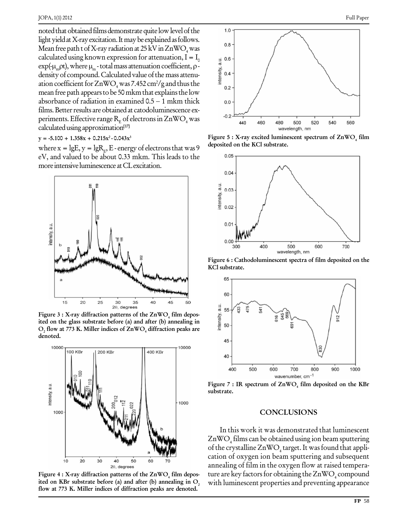noted that obtained films demonstrate quite low level of the light yield at X-ray excitation. It may be explained as follows. Mean free path t of X-ray radiation at  $25 \, \text{kV}$  in  $\text{ZnWO}_4$  was calculated using known expression for attenuation,  $I = I_0$  =  $exp(-\mu_m \rho t)$ , where  $\mu_m$ -total mass attenuation coefficient,  $\rho$ -<br>density of compound. Calculated value of the mass attenu-<br>ation coefficient for  $ZnWO$  was  $7$ Mean free path t of X-ray radiation at 25 kV in ZnWO<sub>4</sub> was<br>calculated using known expression for attenuation, I = I<sub>0</sub><br>exp(- $\mu_m$ pt), where  $\mu_m$ -total mass attenuation coefficient, pdensity of compound. Calculated value of the mass attenuation coefficient for ZnWO<sub>4</sub> was 7.452 cm<sup>2</sup>/g and thus the<br>mean free path appears to be 50 mkm that explains the low<br>absorbance of radiation in examined 0.5 – 1 mkm thick<br>0.0 mean free path appears to be 50 mkm that explains the low 0.2 films. Better results are obtained at catodoluminescence experiments. Effective range  $R_E$  of electrons in  $ZnWO_4$  was calculatedusing approximation **[17]**

$$
y = -5.100 + 1.358x + 0.215x^2 - 0.043x^3
$$

where  $x = \lg E$ ,  $y = \lg R_E$ , E - energy of electrons that was 9 eV, and valued to be about 0.33 mkm. This leads to the more intensive luminescence at CL excitation.



20, degrees<br>
Figure 3 : X-ray diffraction patterns of the ZnWO<sub>4</sub> film depos-<br>
ited on the glass substrate before (a) and after (b) annealing in<br>  $\Omega$  flow at 773 K Miller indices of ZnWO diffraction neaks are **<sup>O</sup><sup>2</sup> flow at <sup>773</sup> K. Miller indices of ZnWO<sup>4</sup> diffraction peaks are denoted.**



Figure 4 : X-ray diffraction patterns of the ZnWO<sub>4</sub> film deposited on KBr substrate before (a) and after (b) annealing in O<sub>2</sub> flow at 773 K. Miller indices of diffraction peaks are denoted.



**Figure 5 : X-ray excited luminescent spectrum of ZnWO<sup>4</sup> film deposited on the KCl substrate.**



**Figure 6 : Cathodoluminescent spectra of film deposited on the KCl substrate.**



**Figure 7 : IR spectrum of ZnWO<sup>4</sup> film deposited on the KBr substrate.**

### **CONCLUSIONS**

In this work it was demonstrated that luminescent  $ZnWO<sub>4</sub>$  films can be obtained using ion beam sputtering of the crystalline  $ZnWO_4$  target. It was found that appli-<br>cation of oxygen ion beam sputtering and subsequent annealing of film in the oxygen flow at raised tempera ture are key factors for obtaining the  $\text{ZnWO}_4$  compound with luminescent properties and preventing appearance